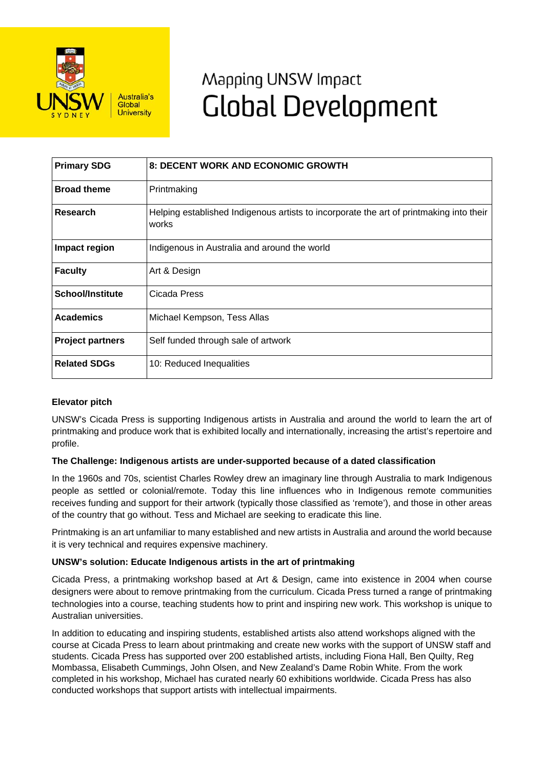

# Mapping UNSW Impact **Global Development**

| <b>Primary SDG</b>      | 8: DECENT WORK AND ECONOMIC GROWTH                                                               |
|-------------------------|--------------------------------------------------------------------------------------------------|
| <b>Broad theme</b>      | Printmaking                                                                                      |
| Research                | Helping established Indigenous artists to incorporate the art of printmaking into their<br>works |
| Impact region           | Indigenous in Australia and around the world                                                     |
| <b>Faculty</b>          | Art & Design                                                                                     |
| <b>School/Institute</b> | Cicada Press                                                                                     |
| <b>Academics</b>        | Michael Kempson, Tess Allas                                                                      |
| <b>Project partners</b> | Self funded through sale of artwork                                                              |
| <b>Related SDGs</b>     | 10: Reduced Inequalities                                                                         |

## **Elevator pitch**

UNSW's Cicada Press is supporting Indigenous artists in Australia and around the world to learn the art of printmaking and produce work that is exhibited locally and internationally, increasing the artist's repertoire and profile.

## **The Challenge: Indigenous artists are under-supported because of a dated classification**

In the 1960s and 70s, scientist Charles Rowley drew an imaginary line through Australia to mark Indigenous people as settled or colonial/remote. Today this line influences who in Indigenous remote communities receives funding and support for their artwork (typically those classified as 'remote'), and those in other areas of the country that go without. Tess and Michael are seeking to eradicate this line.

Printmaking is an art unfamiliar to many established and new artists in Australia and around the world because it is very technical and requires expensive machinery.

## **UNSW's solution: Educate Indigenous artists in the art of printmaking**

Cicada Press, a printmaking workshop based at Art & Design, came into existence in 2004 when course designers were about to remove printmaking from the curriculum. Cicada Press turned a range of printmaking technologies into a course, teaching students how to print and inspiring new work. This workshop is unique to Australian universities.

In addition to educating and inspiring students, established artists also attend workshops aligned with the course at Cicada Press to learn about printmaking and create new works with the support of UNSW staff and students. Cicada Press has supported over 200 established artists, including Fiona Hall, Ben Quilty, Reg Mombassa, Elisabeth Cummings, John Olsen, and New Zealand's Dame Robin White. From the work completed in his workshop, Michael has curated nearly 60 exhibitions worldwide. Cicada Press has also conducted workshops that support artists with intellectual impairments.